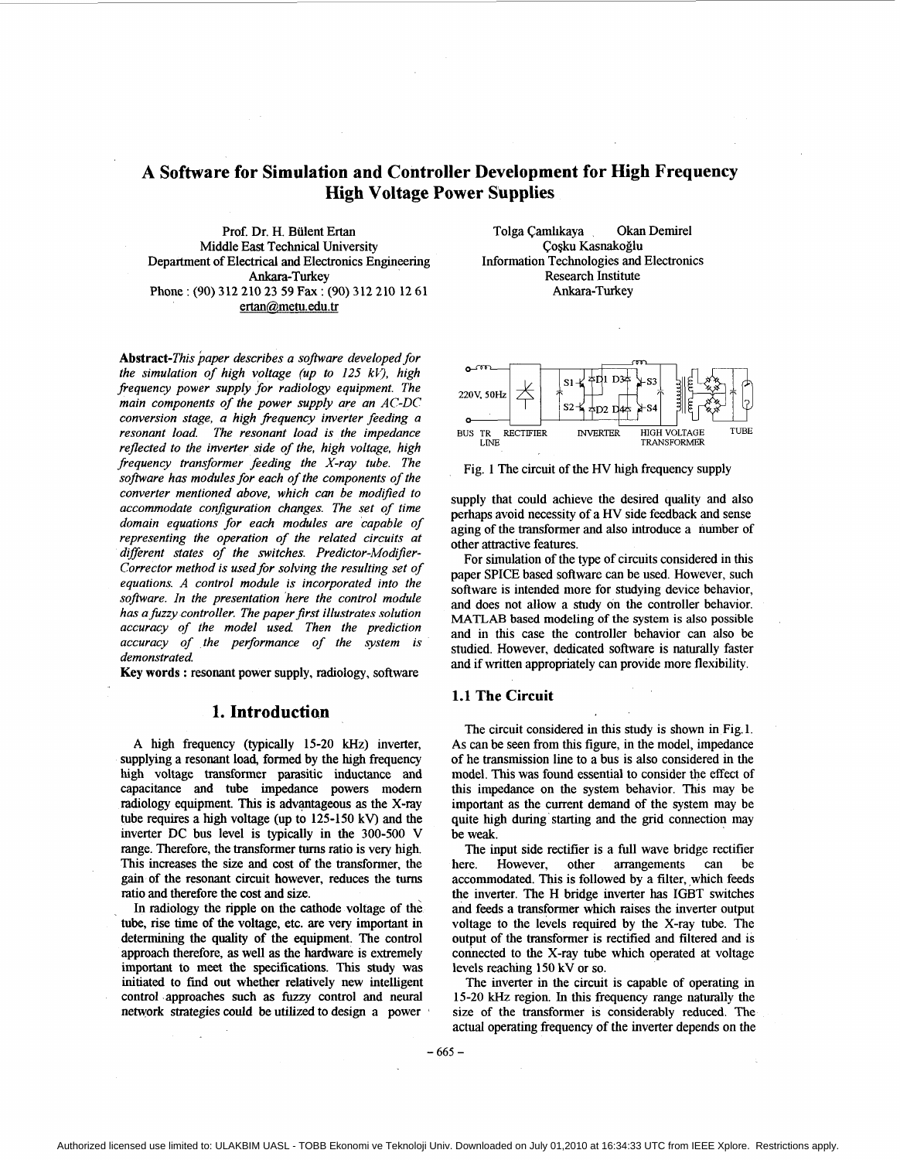# <span id="page-0-0"></span>**A Software for Simulation and Controller Development for High Frequency High Voltage Power Supplies**

Prof. Dr. H. Biilent Ertan Middle East Technical University Department of Electrical and Electronics Engineering Ankara-Turkey Phone : (90) 312 210 23 59 **Fax** : (90) 312 210 12 61 ertan@metu.edu.tr

*Abstract-This paper describes a software developed for the simulation of high voltage (up to 125 kV), high frequency power supply for radiology equipment. The main components of the power supply are an AC-DC conversion stage, a high frequency inverter feeding a resonant load. The resonant load is the impedance reflected to the inverter side of the, high voltage, high frequency transformer feeding the X-ray tube. The software has modules for each of the components of the converter mentioned above, which can be modrfied to accommodate conjguration changes. The set of time domain equations for each modules are capable of representing the operation of the related circuits at different states of the switches. Predictor-Modifier-Corrector method is used for solving the resulting set of equations. A control module is incorporated into the software. In the presentation here the control module*  has a fuzzy controller. The paper first illustrates solution *accuracy of the model used. Then the prediction accuracy of the performance of the system is demonstrated.* 

Key words : resonant power supply, radiology, software

#### **1. Introduction**

A high frequency (typically 15-20 **kHz)** inverter, supplying a resonant load, formed by the high frequency high voltage transformer parasitic inductance and capacitance and tube impedance powers modem radiology equipment. This is advantageous as the X-ray tube requires a high voltage (up to 125-150 kV) and the inverter DC bus level is typically in the 300-500 V range. Therefore, the transformer turns ratio is very **high.**  This increases the size and cost of the transformer, the gain of the resonant circuit however, reduces the tums ratio and therefore the cost and size.

In radiology the ripple on the cathode voltage of the tube, rise time of the voltage, etc. are very important in determining the quality of **the** equipment. The control approach therefore, **as** well as the hardware is extremely important to meet the specifications. This study was initiated to find out whether relatively new intelligent control approaches such **as** fuzzy control and neural network strategies could be utilized to design a power





Fig. 1 The circuit of the *HV* high frequency supply

supply that could achieve the desired quality and also perhaps avoid necessity of a HV side feedback and sense aging of the transformer and also introduce a number of other attractive features.

For simulation of the type of circuits considered in this paper SPICE based software can be used. However, such software is intended more for studying device behavior, and does not allow a study on the controller behavior. MATLAB based modeling of the system is also possible and in this case the controller behavior can also be studied. However, dedicated software is naturally faster and if written appropriately can provide more flexibility.

#### **1.1 The Circuit**

The circuit considered in this study is shown in Fig.1. **As** can be seen from this figure, in the model, impedance of he transmission line to a bus is also considered in the model. **This** was found essential to consider the effect of this impedance on the system behavior. This may be important as the current demand of the system may be quite high during starting and the grid connection may be weak.

The input side rectifier is a full wave bridge rectifier here. However, other arrangements can be accommodated. This is followed by a filter, which feeds the inverter. The H bridge inverter has IGBT switches and feeds a transformer which raises the inverter output voltage to the levels required by the X-ray tube. The output of the transformer is rectified and filtered and is connected to the X-ray tube which operated at voltage levels reaching 150 kV or so.

The inverter in the circuit is capable of operating in 15-20 kHz region. In this frequency range naturally the size of the transformer is considerably reduced. The actual operating frequency of the inverter depends on the

- *665* -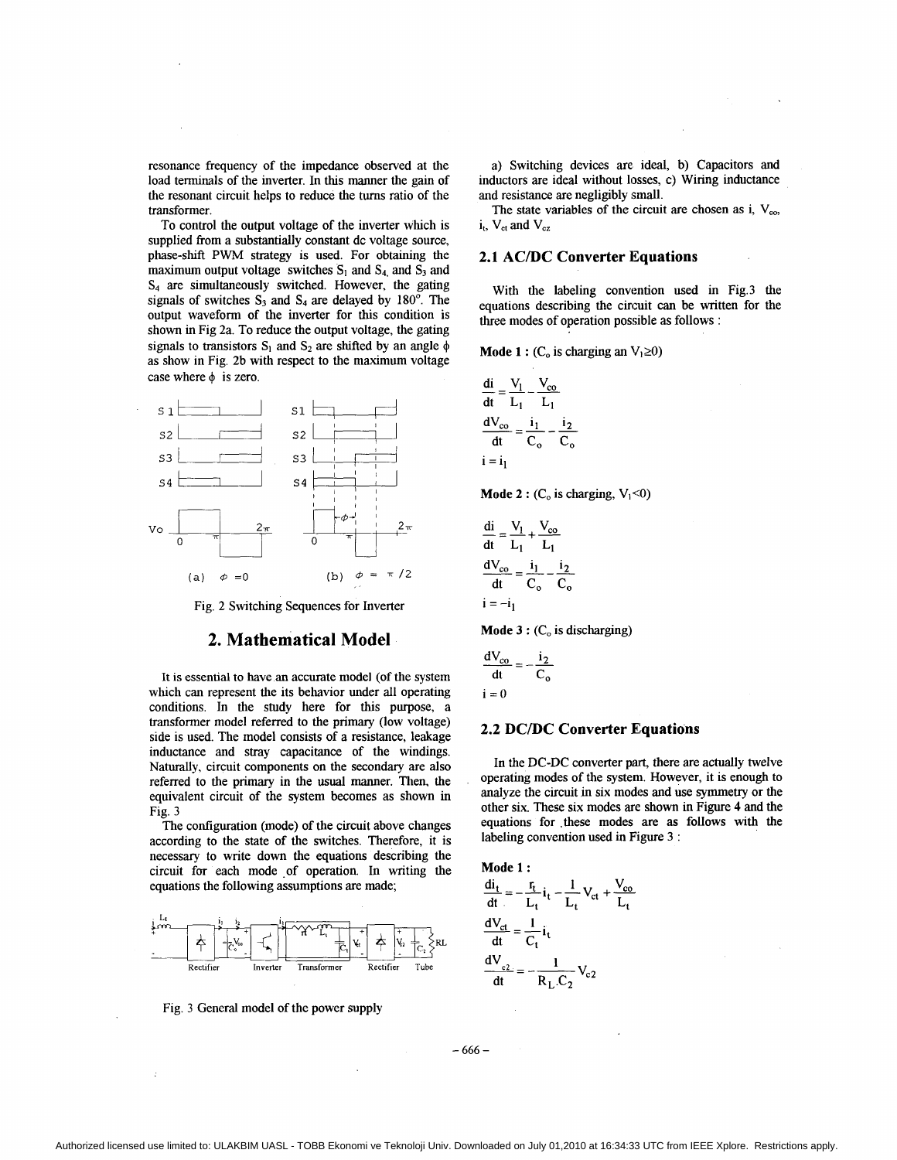resonance frequency of the impedance observed at the load terminals of the inverter. In this manner the gain of the resonant circuit helps to reduce the turns ratio of the transformer.

To control the output voltage of the inverter which is supplied from a substantially constant dc voltage source, phase-shift **PWM** strategy is used. For obtaining the maximum output voltage switches  $S_1$  and  $S_4$  and  $S_3$  and **S4** are simultaneously switched. However, the gating signals of switches  $S_3$  and  $S_4$  are delayed by  $180^\circ$ . The output waveform of the inverter for this condition is shown in Fig 2a. To reduce the output voltage, the gating signals to transistors  $S_1$  and  $S_2$  are shifted by an angle  $\phi$ as show in Fig. 2b with respect to the maximum voltage case where  $\phi$  is zero.



Fig. 2 Switching Sequences for Inverter

### **2. Mathematical Model**

It is essential to have **an** accurate model (of the system which can represent the its behavior under all operating conditions. In the study here for this purpose, a transformer model referred to the primary (low voltage) side is used. The model consists of a resistance, leakage inductance and stray capacitance of the windings. Naturally, circuit components on the secondary are also referred to the primary in the usual manner. Then, the equivalent circuit of the system becomes as shown in Fig. 3

The configuration (mode) of the circuit above changes according to the state of the switches. Therefore, it is necessary to write down the equations describing the circuit for each mode of operation. In writing the equations the following assumptions are made;



Fig. 3 General model of the power supply

a) Switching devices are ideal, b) Capacitors and inductors are ideal without losses, c) Wiring inductance and resistance are negligibly small.

The state variables of the circuit are chosen as i,  $V_{\text{co}}$ ,  $i_t$ ,  $V_{ct}$  and  $V_{cz}$ 

#### **2.1 AC/DC Converter Equations**

With the labeling convention used in Fig.3 the equations describing the circuit can be written for the three modes of operation possible as follows :

**Mode 1 :** ( $C_0$  is charging an  $V_1 \ge 0$ )

$$
\frac{di}{dt} = \frac{V_1}{L_1} - \frac{V_{co}}{L_1}
$$

$$
\frac{dV_{co}}{dt} = \frac{i_1}{C_o} - \frac{i_2}{C_o}
$$

$$
i = i_1
$$

**Mode 2 :**  $(C_0$  is charging,  $V_1 < 0$ )

$$
\frac{di}{dt} = \frac{V_1}{L_1} + \frac{V_{co}}{L_1}
$$

$$
\frac{dV_{co}}{dt} = \frac{i_1}{C_o} - \frac{i_2}{C_o}
$$

$$
i = -i_1
$$

**Mode 3** :  $(C_0$  is discharging)

$$
i = -i1
$$
  
\n**Mode 3:** (C<sub>o</sub> i)  
\n
$$
\frac{dV_{co}}{dt} = -\frac{i_2}{C_o}
$$
  
\n
$$
i = 0
$$

#### **2.2 DC/DC Converter Equations**

In the DC-DC converter **part,** there are actually twelve operating modes of the system. However, it is enough to analyze the circuit in six modes and use symmetry or the other six. These six modes are shown in [Figure](#page-2-0) **4** and the equations for .these modes are as follows with the labeling convention used in Figure 3 :

**Mode 1** :

$$
\frac{di_t}{dt} = -\frac{r_t}{L_t}i_t - \frac{1}{L_t}V_{ct} + \frac{V_{co}}{L_t}
$$

$$
\frac{dV_{ct}}{dt} = \frac{1}{C_t}i_t
$$

$$
\frac{dV_{c2}}{dt} = -\frac{1}{R_L.C_2}V_{c2}
$$

- **666** -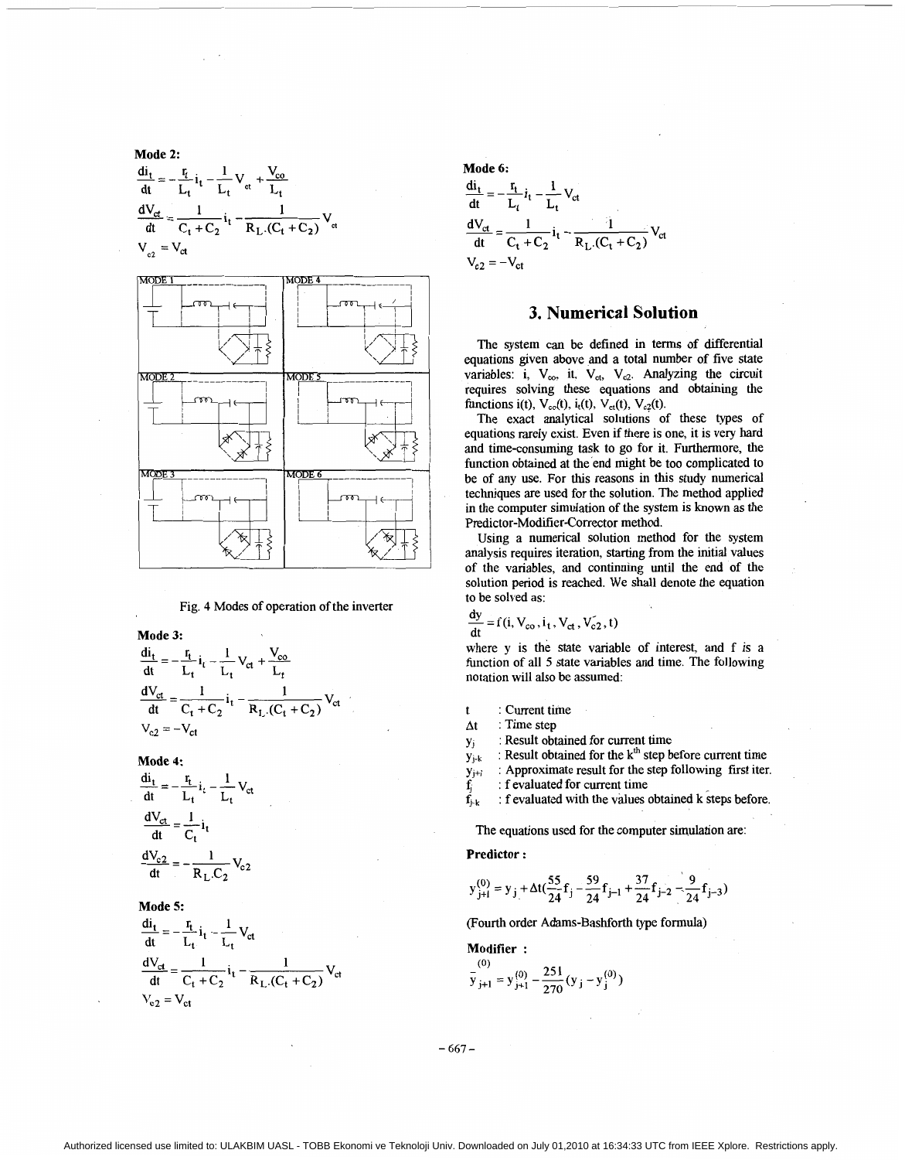<span id="page-2-0"></span>
$$
\begin{aligned}\n\text{Mode 2:} \\
\frac{di_t}{dt} &= -\frac{r_t}{L_t}i_t - \frac{1}{L_t}V_{\alpha t} + \frac{V_{\text{co}}}{L_t} \\
\frac{dV_{\text{ct}}}{dt} &= \frac{1}{C_t + C_2}i_t - \frac{1}{R_L \cdot (C_t + C_2)}V_{\alpha t} \\
V_{\alpha} &= V_{\text{ct}}\n\end{aligned}
$$



Fig. 4 Modes of operation of the inverter

**Mode 3:** 

$$
\frac{di_t}{dt} = -\frac{r_t}{L_t}i_t - \frac{1}{L_t}V_{ct} + \frac{V_{co}}{L_t}
$$
\n
$$
\frac{dV_{ct}}{dt} = \frac{1}{C_t + C_2}i_t - \frac{1}{R_L \cdot (C_t + C_2)}V_{ct}
$$
\n
$$
V_{c2} = -V_{ct}
$$

Mode 4:

$$
\frac{di_t}{dt} = -\frac{r_t}{L_t}i_t - \frac{1}{L_t}V_{ct}
$$

$$
\frac{dV_{ct}}{dt} = \frac{1}{C_t}i_t
$$

$$
\frac{dV_{c2}}{dt} = -\frac{1}{R_t C_2}V_{c2}
$$

Mode 5:<br>  $\frac{di_t}{dt} = -\frac{r_t}{L_t}i_t - \frac{1}{L_t}V_{ct}$  $\frac{dV_{ct}}{dt} = \frac{1}{C_t + C_2} i_t - \frac{1}{R_L (C_t + C_2)} V_{ct}$  $V_{c2} = V_{ct}$ 

Mode 6:  
\n
$$
\frac{di_t}{dt} = -\frac{r_t}{L_t}i_t - \frac{1}{L_t}V_{ct}
$$
\n
$$
\frac{dV_{ct}}{dt} = \frac{1}{C_t + C_2}i_t - \frac{1}{R_L \cdot (C_t + C_2)}V_{ct}
$$
\n
$$
V_{c2} = -V_{ct}
$$

### **3. Numerical Solution**

The system can be defined in terms of differential equations given above and a total number of five state variables: i,  $V_{\infty}$ , it,  $V_{\infty}$ ,  $V_{c2}$ . Analyzing the circuit requires solving these equations and obtaining the functions i(t),  $V_{co}(t)$ ,  $i_{t}(t)$ ,  $V_{ct}(t)$ ,  $V_{c2}(t)$ .

The exact analytical solutions of these types of equations mely exist. Even if there is one, it is very hard and time-consuming task to go for it. Furthermore, the function obtained at the end might be too complicated to be of any use. For this reasons in this study numerical techniques are used for the solution. The method applied in the computer simulation of the system is known as the Predictor-Modifier-Corrector method.

Using a numerical solution method for the system analysis requires iteration, starting from the initial values of the variables, and continuing until the end of the solution period is reached. We shall denote the equation<br>to be solved as:<br> $\frac{dy}{dt} = f(i, V_{co}, i_t, V_{ct}, V_{c2}, t)$ to be solved as:

$$
\frac{dy}{dt} = f(i, V_{co}, i_t, V_{ct}, V_{c2}, t)
$$

where y is the state variable of interest, and f is a function of all *5* state variables and time. The following notation will also be assumed:

t : Current time

 $\Delta t$  : Time step

**y**<sub>i</sub> : Result obtained for current time

 $y_{j-k}$ : Result obtained for the **k\*** step before current time

 $y_{j+1}$ : Approximate result for the step following first iter.

 $f_i$ : f evaluated for current time

 $f_{i-k}$ : f evaluated with the values obtained k steps before.

The equations used for the computer simulation are:

**Predictor** :

$$
y_{j+1}^{(0)} = y_j + \Delta t (\frac{55}{24}f_j - \frac{59}{24}f_{j-1} + \frac{37}{24}f_{j-2} - \frac{9}{24}f_{j-3})
$$

(Fourth order Adams-Bashforth type formula)

**Modifier** :

$$
\overline{y}_{j+1}^{(0)} = y_{j+1}^{(0)} - \frac{251}{270} (y_j - y_j^{(0)})
$$

- **667** -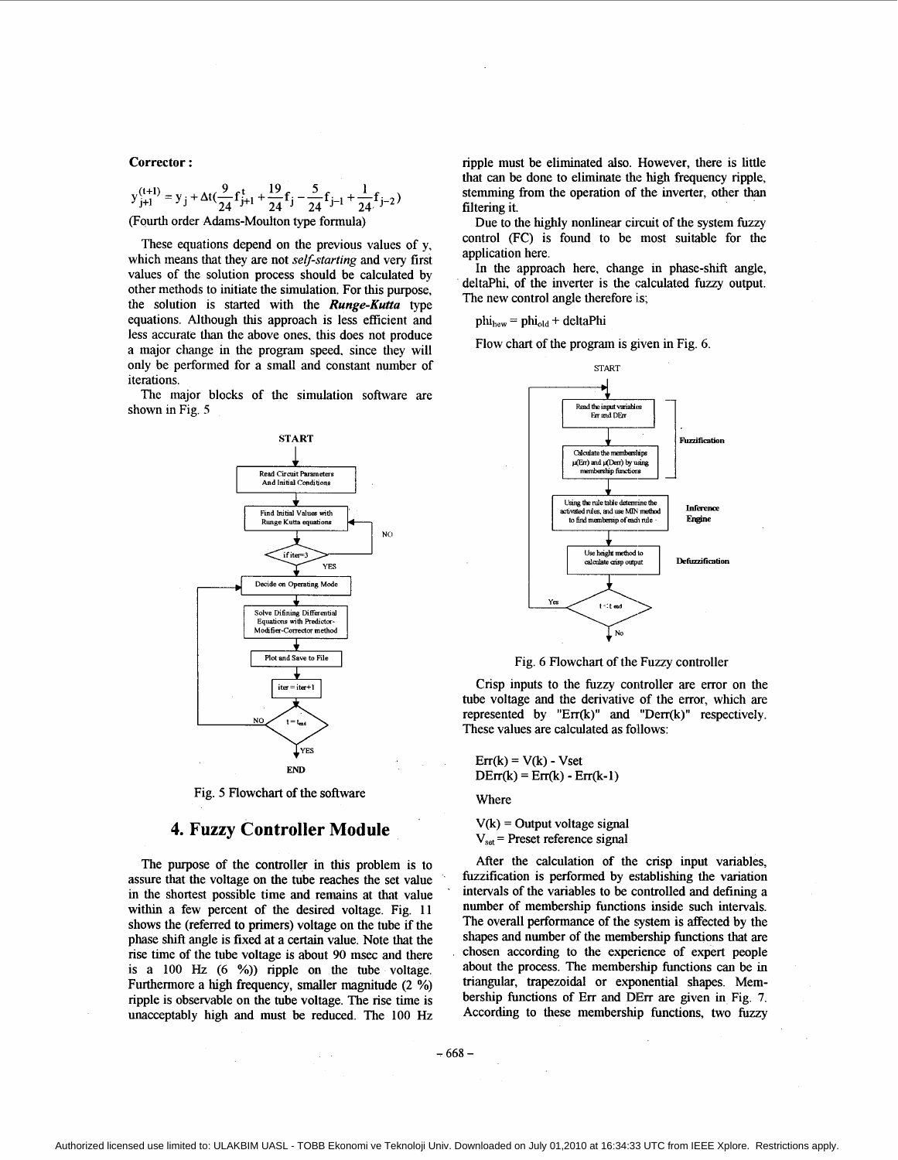**Corrector** :

$$
y_{j+1}^{(t+1)} = y_j + \Delta t \left( \frac{9}{24} f_{j+1}^t + \frac{19}{24} f_j - \frac{5}{24} f_{j-1} + \frac{1}{24} f_{j-2} \right)
$$
  
(Fourth order  $\Delta$  done  $\Delta$  must be true from formula)

(Fourth order Adams-Moulton type formula)

These equations depend on the previous values of y, which means that they are not self-starting and very first values of the solution process should be calculated by other methods to initiate the simulation. For this purpose, the solution is started with the *Runge-Kutta* type equations. Although this approach is less efficient and less accurate than the above ones, this does not produce a major change in the program speed. since they will only be performed for a small and constant number of iterations.

The major blocks of the simulation software are shown in Fig. 5



Fig. 5 Flowchart of the software

## **4. Fuzzy Controller Module**

The purpose of the controller in this problem is to assure that the voltage on the tube reaches the set value in the shortest possible time and remains at that value within a few percent of the desired voltage. Fig. 11 shows the (referred to primers) voltage on the tube if the phase shift angle is fixed at a certain value. Note that the rise time of the tube voltage is about 90 msec and there is a 100 *Hz (6 YO))* ripple on the tube voltage. Furthermore a **high** frequency, smaller magnitude (2 %) ripple is observable on the tube voltage. The rise time is unacceptably high and must be reduced. The 100 **Hz** 

ripple must be eliminated also. However, there is little that can be done to eliminate the high frequency ripple, stemming from the operation of the inverter, other than filtering it.

Due to the highly nonlinear circuit of the system fuzzy control (FC) is found to be most suitable for the application here.

In the approach here, change in phase-shift angle, deltahi, of the inverter is the calculated *fuzzy* output. The new control angle therefore is;

 $phi<sub>hex</sub> = phi<sub>old</sub> + deltaPhi$ 

Flow chart of the program is given in Fig. *6.* 



Fig. 6 Flowchart of the Fuzzy controller

Crisp inputs to the fuzzy controller are error on the tube voltage and the derivative of the error, which are represented by "Err(k)" and "Derr(k)" respectively. These values are calculated as follows:

 $Err(k) = V(k) - Vset$  $DEFr(k) = Err(k) - Err(k-1)$ 

Where

 $V(k)$  = Output voltage signal  $V_{\text{set}}$  = Preset reference signal

After the calculation of the crisp input variables, fuzzification is performed by establishing the variation intervals of the variables to be controlled and defining a number of membership functions inside such intervals. The overall performance of the system is affected by the shapes and number of the membership functions that are chosen according to the experience of expert people about the process. The membership functions can be in triangular, trapezoidal or exponential shapes. Mem-bership functions of Err and DErr are given in [Fig. 7.](#page-4-0) According to these membership functions, two fuzzy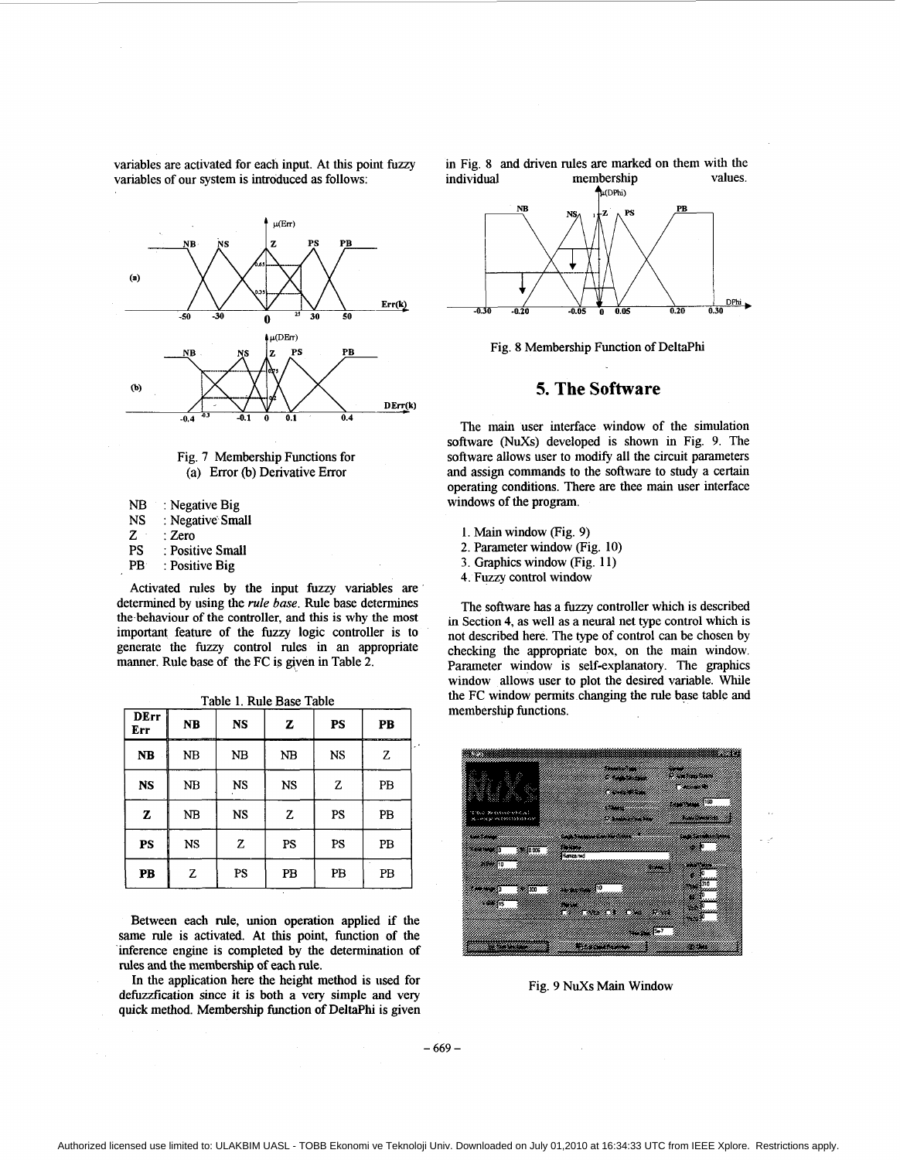<span id="page-4-0"></span>variables are activated for each input. At this point fuzzy variables of our system is introduced as follows:



Fig. 7 Membership Functions for (a) Error (b) Derivative Error

- **NB** : Negative Big<br>**NS** : Negative Sma
- $NS$  : Negative Small<br> $Z = 7$ ero
- Z : Zero<br>PS : Posit
- PS : Positive Small<br>PB : Positive Big
- : Positive Big

Activated rules by the input fuzzy variables are determined by using the rule *base.* Rule base determines the behaviour of the controller, and this is why the most important feature of the fuzzy logic controller is to generate the *fuzzy* control rules in an appropriate manner. Rule base of the FC is given in Table 2.

| <b>DErr</b><br>Err | <b>NB</b><br>------- | <b>NS</b> | $\mathbf{z}$ | <b>PS</b> | PB<br>______ |
|--------------------|----------------------|-----------|--------------|-----------|--------------|
| NB                 | NB                   | NB        | NB           | <b>NS</b> | z            |
| <b>NS</b>          | <b>NB</b>            | <b>NS</b> | <b>NS</b>    | z         | PB           |
| ${\bf z}$          | NB                   | <b>NS</b> | z            | PS        | PB           |
| <b>PS</b>          | <b>NS</b>            | z         | PS           | PS        | PB           |
| PB                 | Z                    | PS        | PB           | PB        | ٠<br>PB      |

Between each **rule,** union operation applied if the same rule is activated. At **this** point, function of the inference engine is completed by the determination of rules and the membership **of** each rule.

In the application here the height method is used for defuzzfication since it is both a very simple and very quick method. Membership function of DeltaPhi is given in Fig. 8 and driven rules are marked on them with the<br>individual membership values. membership



Fig. 8 Membership Function of DeltaPhi

## *5.* **The Software**

The main user interface window of the simulation software (NuXs) developed is shown in Fig. 9. The software allows user to modify all the circuit parameters and assign commands to the software to study a certain operating conditions. There are thee main user interface windows of the program.

- 1. Main window (Fig. 9)
- 2. Parameter window [\(Fig. 10\)](#page-5-0)
- 3. Graphics window [\(Fig. 1](#page-0-0) 1)
- **4.** Fuzzy control window

The software has a fuzzy controller which is described in Section **4,** as well as a neural net type control which is not described here. The type of control can be chosen by checking the appropriate box, on the main window. Parameter window is self-explanatory. The graphics window allows user to plot the desired variable. While the FC window permits changing the rule base table and Table 1. Rule Base Table 1. The FC window permits of the FC window permits of the TC window of the TC window of  $\frac{1}{1}$  is the TC window permits of the TC window permits of the TC window permits of the TC window of the T



Fig. 9 NuXs Main Window

- **669** -